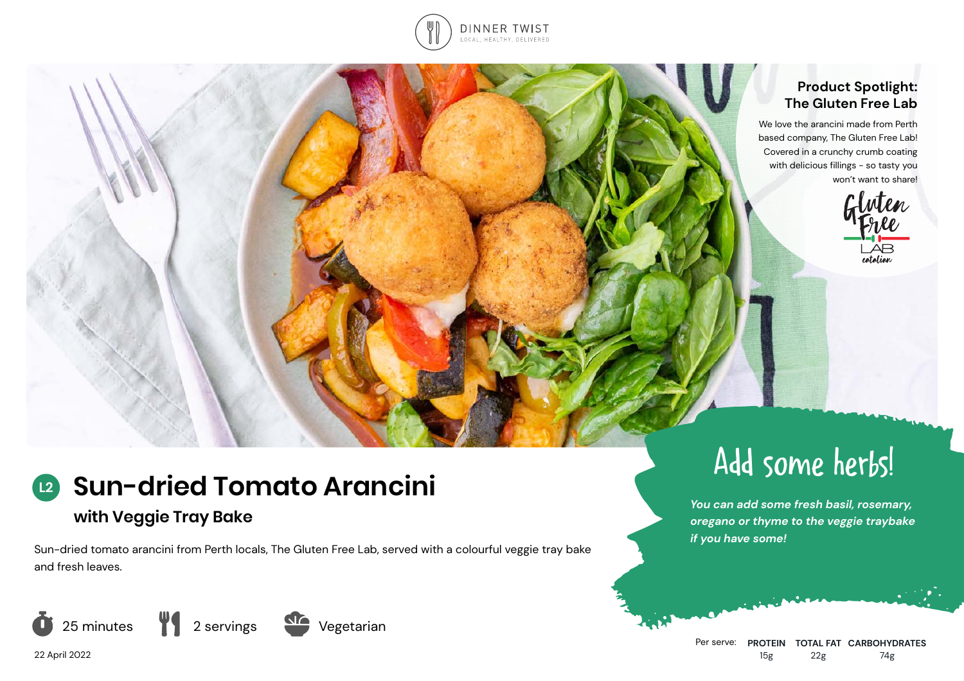

#### **Product Spotlight: The Gluten Free Lab**

We love the arancini made from Perth based company, The Gluten Free Lab! Covered in a crunchy crumb coating with delicious fillings - so tasty you won't want to share!



#### **Sun-dried Tomato Arancini L2**

# **with Veggie Tray Bake**

Sun-dried tomato arancini from Perth locals, The Gluten Free Lab, served with a colourful veggie tray bake and fresh leaves.







Add some herbs!

*You can add some fresh basil, rosemary, oregano or thyme to the veggie traybake if you have some!*